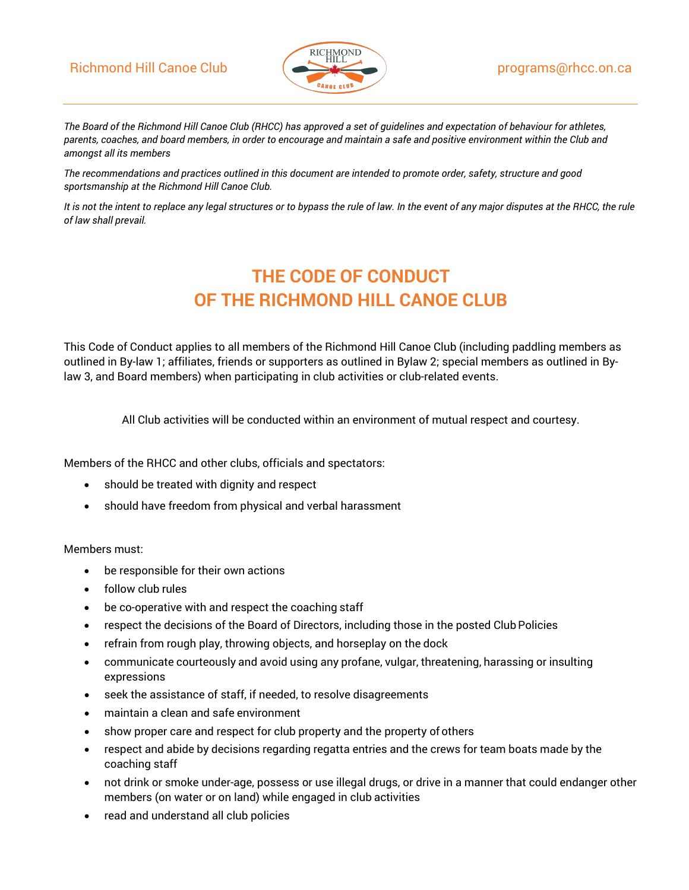## Richmond Hill Canoe Club  $\left( \bigotimes$  programs@rhcc.on.ca



*The Board of the Richmond Hill Canoe Club (RHCC) has approved a set of guidelines and expectation of behaviour for athletes, parents, coaches, and board members, in order to encourage and maintain a safe and positive environment within the Club and amongst all its members*

*The recommendations and practices outlined in this document are intended to promote order, safety, structure and good sportsmanship at the Richmond Hill Canoe Club.*

*It is not the intent to replace any legal structures or to bypass the rule of law. In the event of any major disputes at the RHCC, the rule of law shall prevail.*

# **THE CODE OF CONDUCT OF THE RICHMOND HILL CANOE CLUB**

This Code of Conduct applies to all members of the Richmond Hill Canoe Club (including paddling members as outlined in By-law 1; affiliates, friends or supporters as outlined in Bylaw 2; special members as outlined in Bylaw 3, and Board members) when participating in club activities or club-related events.

All Club activities will be conducted within an environment of mutual respect and courtesy.

Members of the RHCC and other clubs, officials and spectators:

- should be treated with dignity and respect
- should have freedom from physical and verbal harassment

#### Members must:

- be responsible for their own actions
- follow club rules
- be co-operative with and respect the coaching staff
- respect the decisions of the Board of Directors, including those in the posted Club Policies
- refrain from rough play, throwing objects, and horseplay on the dock
- communicate courteously and avoid using any profane, vulgar, threatening, harassing or insulting expressions
- seek the assistance of staff, if needed, to resolve disagreements
- maintain a clean and safe environment
- show proper care and respect for club property and the property of others
- respect and abide by decisions regarding regatta entries and the crews for team boats made by the coaching staff
- not drink or smoke under-age, possess or use illegal drugs, or drive in a manner that could endanger other members (on water or on land) while engaged in club activities
- read and understand all club policies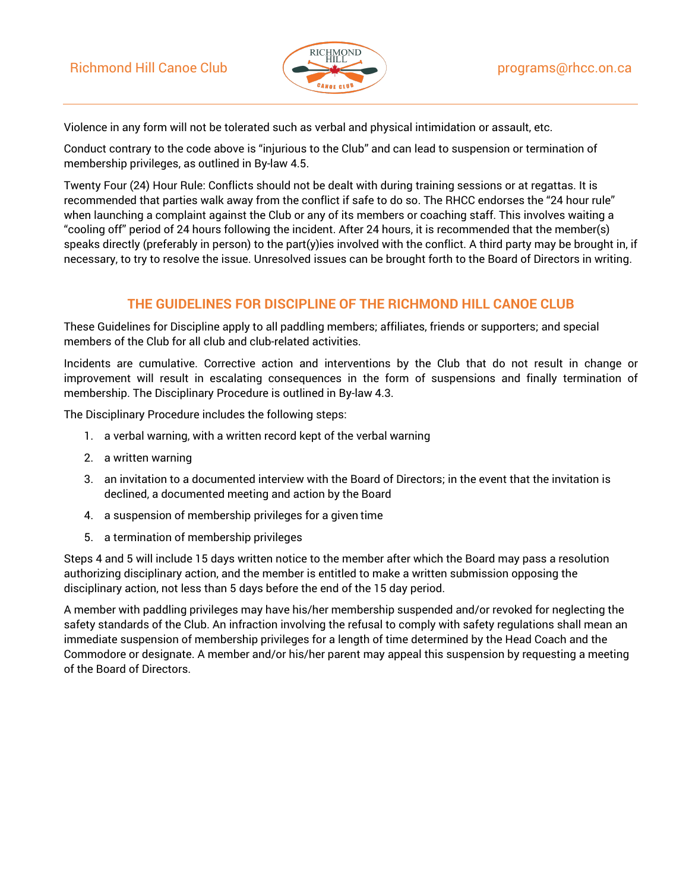

Violence in any form will not be tolerated such as verbal and physical intimidation or assault, etc.

Conduct contrary to the code above is "injurious to the Club" and can lead to suspension or termination of membership privileges, as outlined in By-law 4.5.

Twenty Four (24) Hour Rule: Conflicts should not be dealt with during training sessions or at regattas. It is recommended that parties walk away from the conflict if safe to do so. The RHCC endorses the "24 hour rule" when launching a complaint against the Club or any of its members or coaching staff. This involves waiting a "cooling off" period of 24 hours following the incident. After 24 hours, it is recommended that the member(s) speaks directly (preferably in person) to the part(y)ies involved with the conflict. A third party may be brought in, if necessary, to try to resolve the issue. Unresolved issues can be brought forth to the Board of Directors in writing.

## **THE GUIDELINES FOR DISCIPLINE OF THE RICHMOND HILL CANOE CLUB**

These Guidelines for Discipline apply to all paddling members; affiliates, friends or supporters; and special members of the Club for all club and club-related activities.

Incidents are cumulative. Corrective action and interventions by the Club that do not result in change or improvement will result in escalating consequences in the form of suspensions and finally termination of membership. The Disciplinary Procedure is outlined in By-law 4.3.

The Disciplinary Procedure includes the following steps:

- 1. a verbal warning, with a written record kept of the verbal warning
- 2. a written warning
- 3. an invitation to a documented interview with the Board of Directors; in the event that the invitation is declined, a documented meeting and action by the Board
- 4. a suspension of membership privileges for a given time
- 5. a termination of membership privileges

Steps 4 and 5 will include 15 days written notice to the member after which the Board may pass a resolution authorizing disciplinary action, and the member is entitled to make a written submission opposing the disciplinary action, not less than 5 days before the end of the 15 day period.

A member with paddling privileges may have his/her membership suspended and/or revoked for neglecting the safety standards of the Club. An infraction involving the refusal to comply with safety regulations shall mean an immediate suspension of membership privileges for a length of time determined by the Head Coach and the Commodore or designate. A member and/or his/her parent may appeal this suspension by requesting a meeting of the Board of Directors.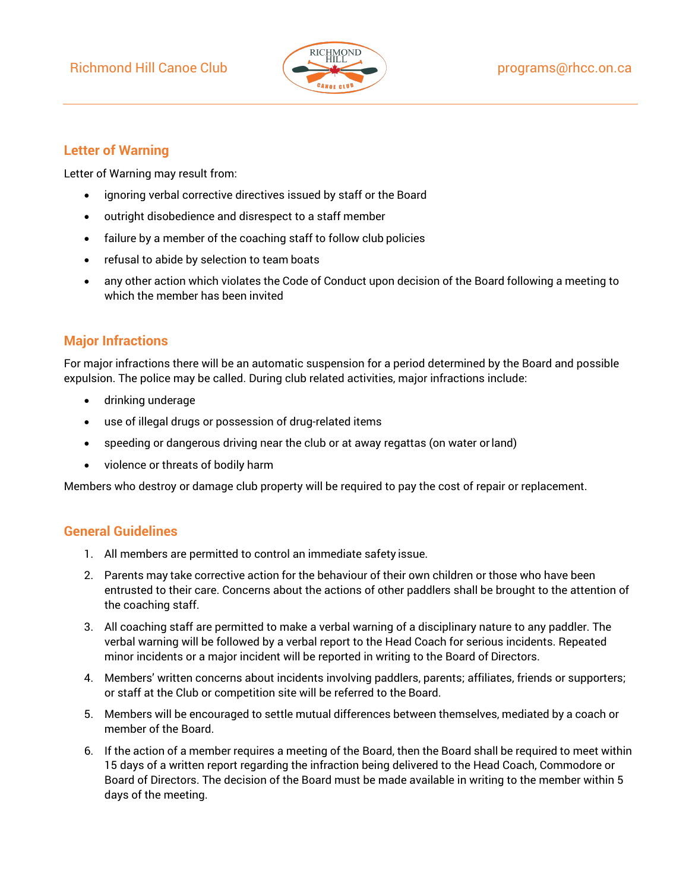## Richmond Hill Canoe Club ( **Programs** extending the programs of hec.on.ca



### **Letter of Warning**

Letter of Warning may result from:

- ignoring verbal corrective directives issued by staff or the Board
- outright disobedience and disrespect to a staff member
- failure by a member of the coaching staff to follow club policies
- refusal to abide by selection to team boats
- any other action which violates the Code of Conduct upon decision of the Board following a meeting to which the member has been invited

### **Major Infractions**

For major infractions there will be an automatic suspension for a period determined by the Board and possible expulsion. The police may be called. During club related activities, major infractions include:

- drinking underage
- use of illegal drugs or possession of drug-related items
- speeding or dangerous driving near the club or at away regattas (on water orland)
- violence or threats of bodily harm

Members who destroy or damage club property will be required to pay the cost of repair or replacement.

### **General Guidelines**

- 1. All members are permitted to control an immediate safety issue.
- 2. Parents may take corrective action for the behaviour of their own children or those who have been entrusted to their care. Concerns about the actions of other paddlers shall be brought to the attention of the coaching staff.
- 3. All coaching staff are permitted to make a verbal warning of a disciplinary nature to any paddler. The verbal warning will be followed by a verbal report to the Head Coach for serious incidents. Repeated minor incidents or a major incident will be reported in writing to the Board of Directors.
- 4. Members' written concerns about incidents involving paddlers, parents; affiliates, friends or supporters; or staff at the Club or competition site will be referred to the Board.
- 5. Members will be encouraged to settle mutual differences between themselves, mediated by a coach or member of the Board.
- 6. If the action of a member requires a meeting of the Board, then the Board shall be required to meet within 15 days of a written report regarding the infraction being delivered to the Head Coach, Commodore or Board of Directors. The decision of the Board must be made available in writing to the member within 5 days of the meeting.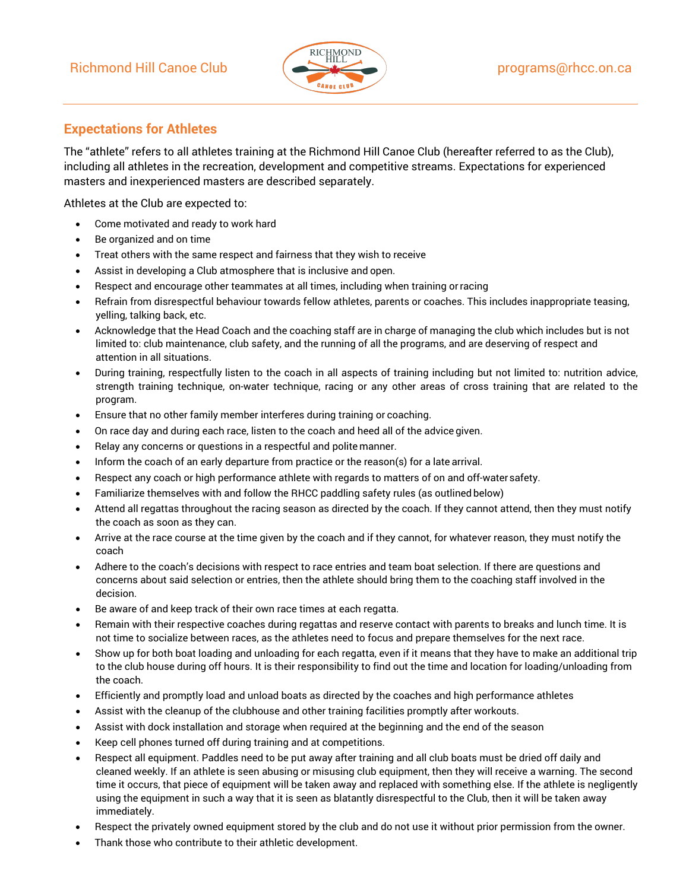

## **Expectations for Athletes**

The "athlete" refers to all athletes training at the Richmond Hill Canoe Club (hereafter referred to as the Club), including all athletes in the recreation, development and competitive streams. Expectations for experienced masters and inexperienced masters are described separately.

Athletes at the Club are expected to:

- Come motivated and ready to work hard
- Be organized and on time
- Treat others with the same respect and fairness that they wish to receive
- Assist in developing a Club atmosphere that is inclusive and open.
- Respect and encourage other teammates at all times, including when training orracing
- Refrain from disrespectful behaviour towards fellow athletes, parents or coaches. This includes inappropriate teasing, yelling, talking back, etc.
- Acknowledge that the Head Coach and the coaching staff are in charge of managing the club which includes but is not limited to: club maintenance, club safety, and the running of all the programs, and are deserving of respect and attention in all situations.
- During training, respectfully listen to the coach in all aspects of training including but not limited to: nutrition advice, strength training technique, on-water technique, racing or any other areas of cross training that are related to the program.
- Ensure that no other family member interferes during training or coaching.
- On race day and during each race, listen to the coach and heed all of the advice given.
- Relay any concerns or questions in a respectful and polite manner.
- Inform the coach of an early departure from practice or the reason(s) for a late arrival.
- Respect any coach or high performance athlete with regards to matters of on and off-watersafety.
- Familiarize themselves with and follow the RHCC paddling safety rules (as outlined below)
- Attend all regattas throughout the racing season as directed by the coach. If they cannot attend, then they must notify the coach as soon as they can.
- Arrive at the race course at the time given by the coach and if they cannot, for whatever reason, they must notify the coach
- Adhere to the coach's decisions with respect to race entries and team boat selection. If there are questions and concerns about said selection or entries, then the athlete should bring them to the coaching staff involved in the decision.
- Be aware of and keep track of their own race times at each regatta.
- Remain with their respective coaches during regattas and reserve contact with parents to breaks and lunch time. It is not time to socialize between races, as the athletes need to focus and prepare themselves for the next race.
- Show up for both boat loading and unloading for each regatta, even if it means that they have to make an additional trip to the club house during off hours. It is their responsibility to find out the time and location for loading/unloading from the coach.
- Efficiently and promptly load and unload boats as directed by the coaches and high performance athletes
- Assist with the cleanup of the clubhouse and other training facilities promptly after workouts.
- Assist with dock installation and storage when required at the beginning and the end of the season
- Keep cell phones turned off during training and at competitions.
- Respect all equipment. Paddles need to be put away after training and all club boats must be dried off daily and cleaned weekly. If an athlete is seen abusing or misusing club equipment, then they will receive a warning. The second time it occurs, that piece of equipment will be taken away and replaced with something else. If the athlete is negligently using the equipment in such a way that it is seen as blatantly disrespectful to the Club, then it will be taken away immediately.
- Respect the privately owned equipment stored by the club and do not use it without prior permission from the owner.
- Thank those who contribute to their athletic development.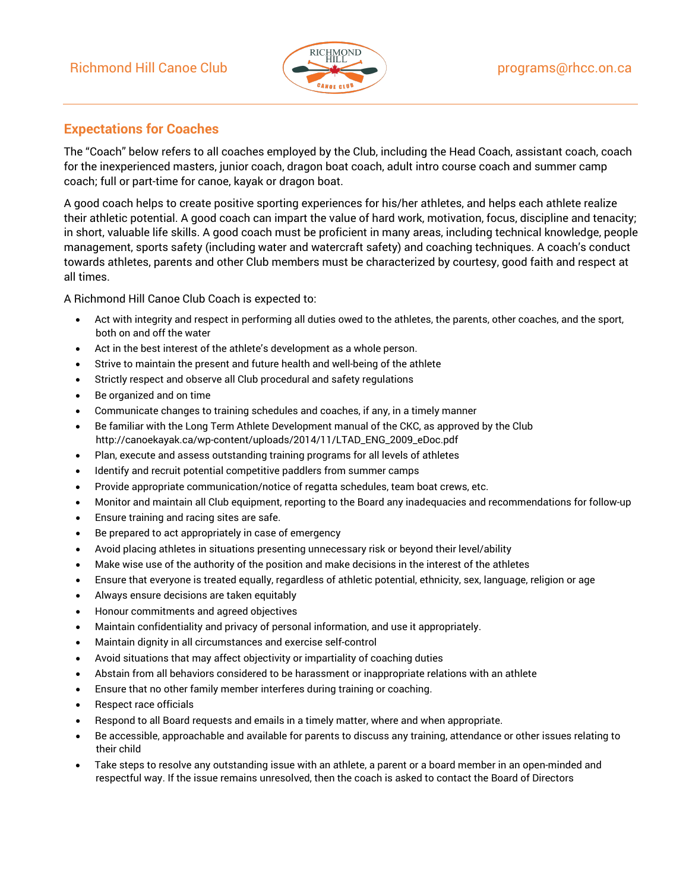## Richmond Hill Canoe Club ( **exception 1998** programs@rhcc.on.ca



### **Expectations for Coaches**

The "Coach" below refers to all coaches employed by the Club, including the Head Coach, assistant coach, coach for the inexperienced masters, junior coach, dragon boat coach, adult intro course coach and summer camp coach; full or part-time for canoe, kayak or dragon boat.

A good coach helps to create positive sporting experiences for his/her athletes, and helps each athlete realize their athletic potential. A good coach can impart the value of hard work, motivation, focus, discipline and tenacity; in short, valuable life skills. A good coach must be proficient in many areas, including technical knowledge, people management, sports safety (including water and watercraft safety) and coaching techniques. A coach's conduct towards athletes, parents and other Club members must be characterized by courtesy, good faith and respect at all times.

A Richmond Hill Canoe Club Coach is expected to:

- Act with integrity and respect in performing all duties owed to the athletes, the parents, other coaches, and the sport, both on and off the water
- Act in the best interest of the athlete's development as a whole person.
- Strive to maintain the present and future health and well-being of the athlete
- Strictly respect and observe all Club procedural and safety regulations
- Be organized and on time
- Communicate changes to training schedules and coaches, if any, in a timely manner
- Be familiar with the Long Term Athlete Development manual of the CKC, as approved by the Club [http://canoekayak.ca/wp-content/uploads/2014/11/LTAD\\_ENG\\_2009\\_eDoc.pdf](http://canoekayak.ca/wp-content/uploads/2014/11/LTAD_ENG_2009_eDoc.pdf)
- Plan, execute and assess outstanding training programs for all levels of athletes
- Identify and recruit potential competitive paddlers from summer camps
- Provide appropriate communication/notice of regatta schedules, team boat crews, etc.
- Monitor and maintain all Club equipment, reporting to the Board any inadequacies and recommendations for follow-up
- Ensure training and racing sites are safe.
- Be prepared to act appropriately in case of emergency
- Avoid placing athletes in situations presenting unnecessary risk or beyond their level/ability
- Make wise use of the authority of the position and make decisions in the interest of the athletes
- Ensure that everyone is treated equally, regardless of athletic potential, ethnicity, sex, language, religion or age
- Always ensure decisions are taken equitably
- Honour commitments and agreed objectives
- Maintain confidentiality and privacy of personal information, and use it appropriately.
- Maintain dignity in all circumstances and exercise self-control
- Avoid situations that may affect objectivity or impartiality of coaching duties
- Abstain from all behaviors considered to be harassment or inappropriate relations with an athlete
- Ensure that no other family member interferes during training or coaching.
- Respect race officials
- Respond to all Board requests and emails in a timely matter, where and when appropriate.
- Be accessible, approachable and available for parents to discuss any training, attendance or other issues relating to their child
- Take steps to resolve any outstanding issue with an athlete, a parent or a board member in an open-minded and respectful way. If the issue remains unresolved, then the coach is asked to contact the Board of Directors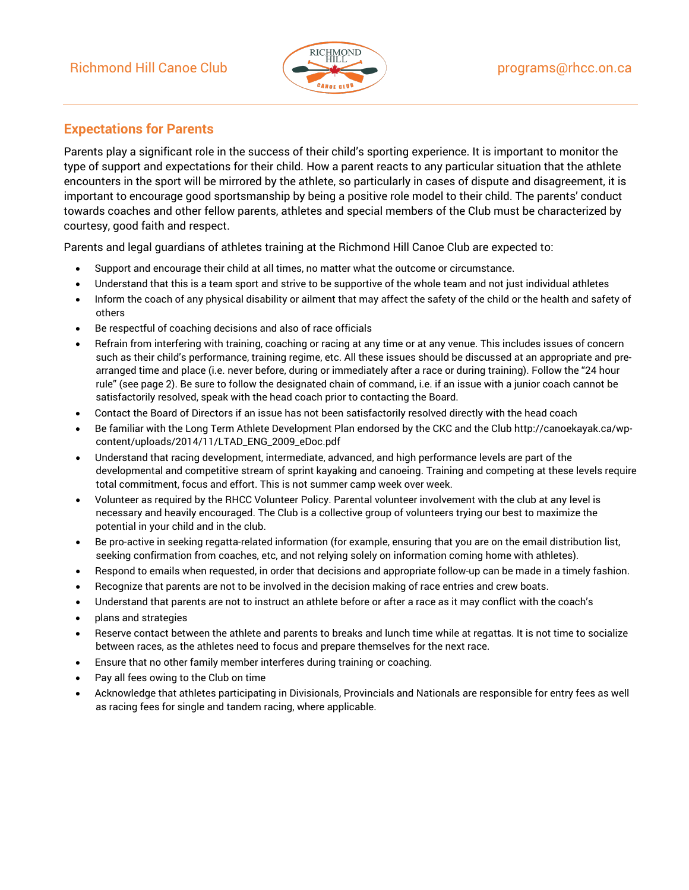

## **Expectations for Parents**

Parents play a significant role in the success of their child's sporting experience. It is important to monitor the type of support and expectations for their child. How a parent reacts to any particular situation that the athlete encounters in the sport will be mirrored by the athlete, so particularly in cases of dispute and disagreement, it is important to encourage good sportsmanship by being a positive role model to their child. The parents' conduct towards coaches and other fellow parents, athletes and special members of the Club must be characterized by courtesy, good faith and respect.

Parents and legal guardians of athletes training at the Richmond Hill Canoe Club are expected to:

- Support and encourage their child at all times, no matter what the outcome or circumstance.
- Understand that this is a team sport and strive to be supportive of the whole team and not just individual athletes
- Inform the coach of any physical disability or ailment that may affect the safety of the child or the health and safety of others
- Be respectful of coaching decisions and also of race officials
- Refrain from interfering with training, coaching or racing at any time or at any venue. This includes issues of concern such as their child's performance, training regime, etc. All these issues should be discussed at an appropriate and prearranged time and place (i.e. never before, during or immediately after a race or during training). Follow the "24 hour rule" (see page 2). Be sure to follow the designated chain of command, i.e. if an issue with a junior coach cannot be satisfactorily resolved, speak with the head coach prior to contacting the Board.
- Contact the Board of Directors if an issue has not been satisfactorily resolved directly with the head coach
- Be familiar with the Long Term Athlete Development Plan endorsed by the CKC and the Clu[b http://canoekayak.ca/wp](http://canoekayak.ca/wp-content/uploads/2014/11/LTAD_ENG_2009_eDoc.pdf)[content/uploads/2014/11/LTAD\\_ENG\\_2009\\_eDoc.pdf](http://canoekayak.ca/wp-content/uploads/2014/11/LTAD_ENG_2009_eDoc.pdf)
- Understand that racing development, intermediate, advanced, and high performance levels are part of the developmental and competitive stream of sprint kayaking and canoeing. Training and competing at these levels require total commitment, focus and effort. This is not summer camp week over week.
- Volunteer as required by the RHCC Volunteer Policy. Parental volunteer involvement with the club at any level is necessary and heavily encouraged. The Club is a collective group of volunteers trying our best to maximize the potential in your child and in the club.
- Be pro-active in seeking regatta-related information (for example, ensuring that you are on the email distribution list, seeking confirmation from coaches, etc, and not relying solely on information coming home with athletes).
- Respond to emails when requested, in order that decisions and appropriate follow-up can be made in a timely fashion.
- Recognize that parents are not to be involved in the decision making of race entries and crew boats.
- Understand that parents are not to instruct an athlete before or after a race as it may conflict with the coach's
- plans and strategies
- Reserve contact between the athlete and parents to breaks and lunch time while at regattas. It is not time to socialize between races, as the athletes need to focus and prepare themselves for the next race.
- Ensure that no other family member interferes during training or coaching.
- Pay all fees owing to the Club on time
- Acknowledge that athletes participating in Divisionals, Provincials and Nationals are responsible for entry fees as well as racing fees for single and tandem racing, where applicable.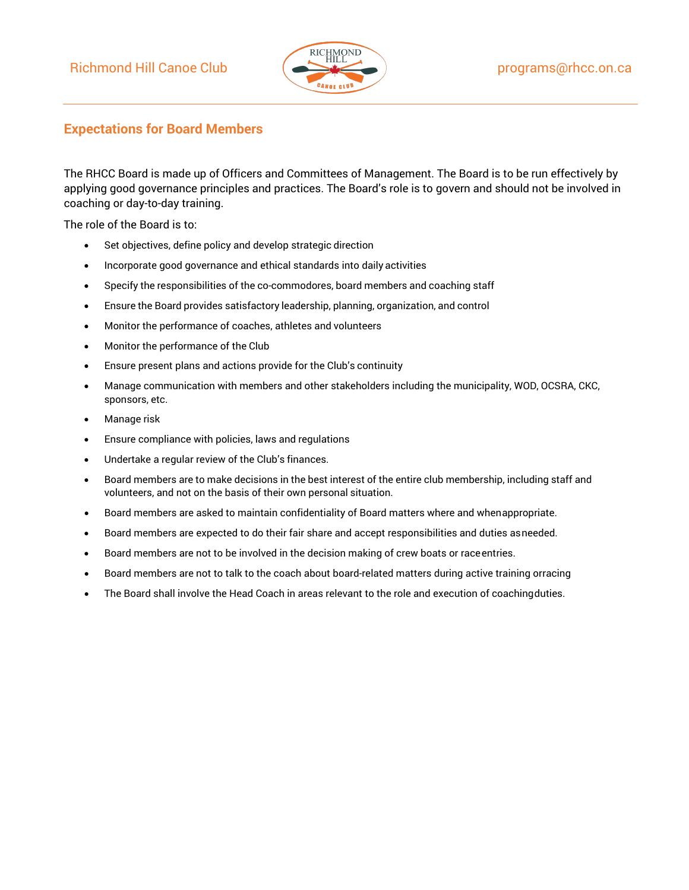

## **Expectations for Board Members**

The RHCC Board is made up of Officers and Committees of Management. The Board is to be run effectively by applying good governance principles and practices. The Board's role is to govern and should not be involved in coaching or day-to-day training.

The role of the Board is to:

- Set objectives, define policy and develop strategic direction
- Incorporate good governance and ethical standards into daily activities
- Specify the responsibilities of the co-commodores, board members and coaching staff
- Ensure the Board provides satisfactory leadership, planning, organization, and control
- Monitor the performance of coaches, athletes and volunteers
- Monitor the performance of the Club
- Ensure present plans and actions provide for the Club's continuity
- Manage communication with members and other stakeholders including the municipality, WOD, OCSRA, CKC, sponsors, etc.
- Manage risk
- Ensure compliance with policies, laws and regulations
- Undertake a regular review of the Club's finances.
- Board members are to make decisions in the best interest of the entire club membership, including staff and volunteers, and not on the basis of their own personal situation.
- Board members are asked to maintain confidentiality of Board matters where and whenappropriate.
- Board members are expected to do their fair share and accept responsibilities and duties asneeded.
- Board members are not to be involved in the decision making of crew boats or raceentries.
- Board members are not to talk to the coach about board-related matters during active training orracing
- The Board shall involve the Head Coach in areas relevant to the role and execution of coachingduties.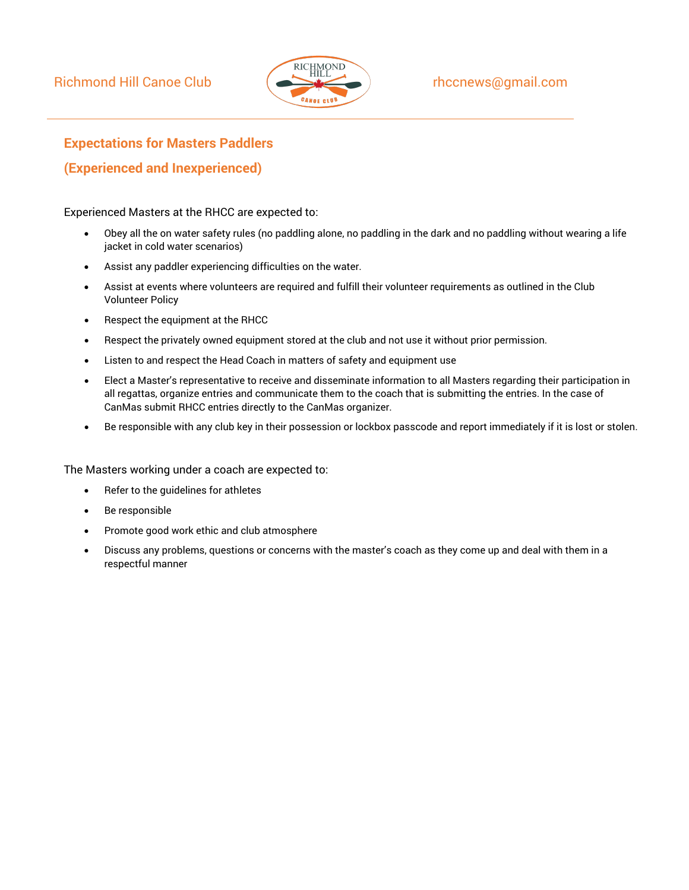

## **Expectations for Masters Paddlers**

## **(Experienced and Inexperienced)**

Experienced Masters at the RHCC are expected to:

- Obey all the on water safety rules (no paddling alone, no paddling in the dark and no paddling without wearing a life jacket in cold water scenarios)
- Assist any paddler experiencing difficulties on the water.
- Assist at events where volunteers are required and fulfill their volunteer requirements as outlined in the Club Volunteer Policy
- Respect the equipment at the RHCC
- Respect the privately owned equipment stored at the club and not use it without prior permission.
- Listen to and respect the Head Coach in matters of safety and equipment use
- Elect a Master's representative to receive and disseminate information to all Masters regarding their participation in all regattas, organize entries and communicate them to the coach that is submitting the entries. In the case of CanMas submit RHCC entries directly to the CanMas organizer.
- Be responsible with any club key in their possession or lockbox passcode and report immediately if it is lost or stolen.

The Masters working under a coach are expected to:

- Refer to the quidelines for athletes
- Be responsible
- Promote good work ethic and club atmosphere
- Discuss any problems, questions or concerns with the master's coach as they come up and deal with them in a respectful manner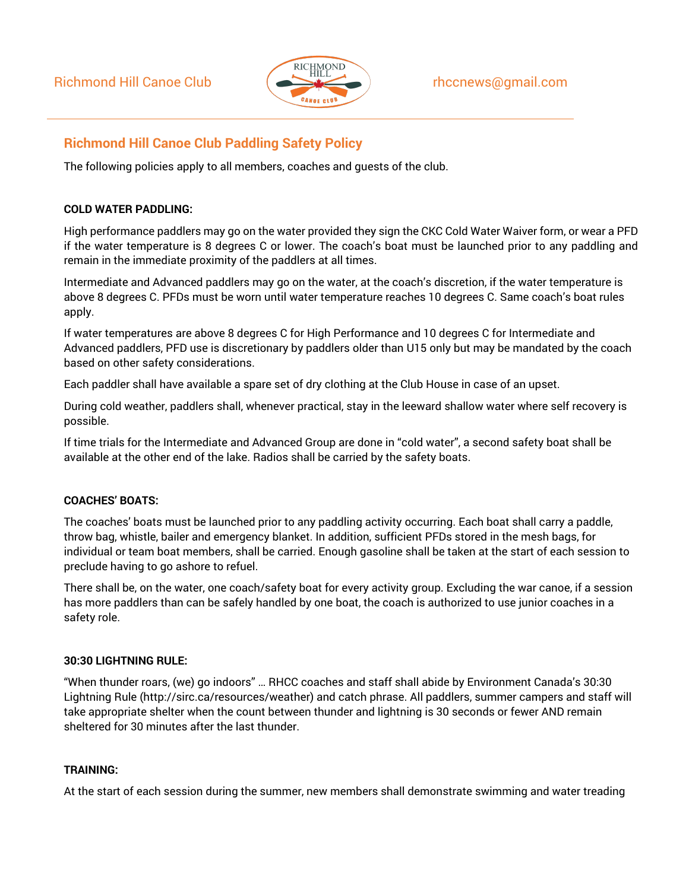

## **Richmond Hill Canoe Club Paddling Safety Policy**

The following policies apply to all members, coaches and guests of the club.

#### **COLD WATER PADDLING:**

High performance paddlers may go on the water provided they sign the CKC Cold Water Waiver form, or wear a PFD if the water temperature is 8 degrees C or lower. The coach's boat must be launched prior to any paddling and remain in the immediate proximity of the paddlers at all times.

Intermediate and Advanced paddlers may go on the water, at the coach's discretion, if the water temperature is above 8 degrees C. PFDs must be worn until water temperature reaches 10 degrees C. Same coach's boat rules apply.

If water temperatures are above 8 degrees C for High Performance and 10 degrees C for Intermediate and Advanced paddlers, PFD use is discretionary by paddlers older than U15 only but may be mandated by the coach based on other safety considerations.

Each paddler shall have available a spare set of dry clothing at the Club House in case of an upset.

During cold weather, paddlers shall, whenever practical, stay in the leeward shallow water where self recovery is possible.

If time trials for the Intermediate and Advanced Group are done in "cold water", a second safety boat shall be available at the other end of the lake. Radios shall be carried by the safety boats.

### **COACHES' BOATS:**

The coaches' boats must be launched prior to any paddling activity occurring. Each boat shall carry a paddle, throw bag, whistle, bailer and emergency blanket. In addition, sufficient PFDs stored in the mesh bags, for individual or team boat members, shall be carried. Enough gasoline shall be taken at the start of each session to preclude having to go ashore to refuel.

There shall be, on the water, one coach/safety boat for every activity group. Excluding the war canoe, if a session has more paddlers than can be safely handled by one boat, the coach is authorized to use junior coaches in a safety role.

#### **30:30 LIGHTNING RULE:**

"When thunder roars, (we) go indoors" … RHCC coaches and staff shall abide by Environment Canada's 30:30 Lightning Rule [\(http://sirc.ca/resources/weather\) a](http://sirc.ca/resources/weather))nd catch phrase. All paddlers, summer campers and staff will take appropriate shelter when the count between thunder and lightning is 30 seconds or fewer AND remain sheltered for 30 minutes after the last thunder.

### **TRAINING:**

At the start of each session during the summer, new members shall demonstrate swimming and water treading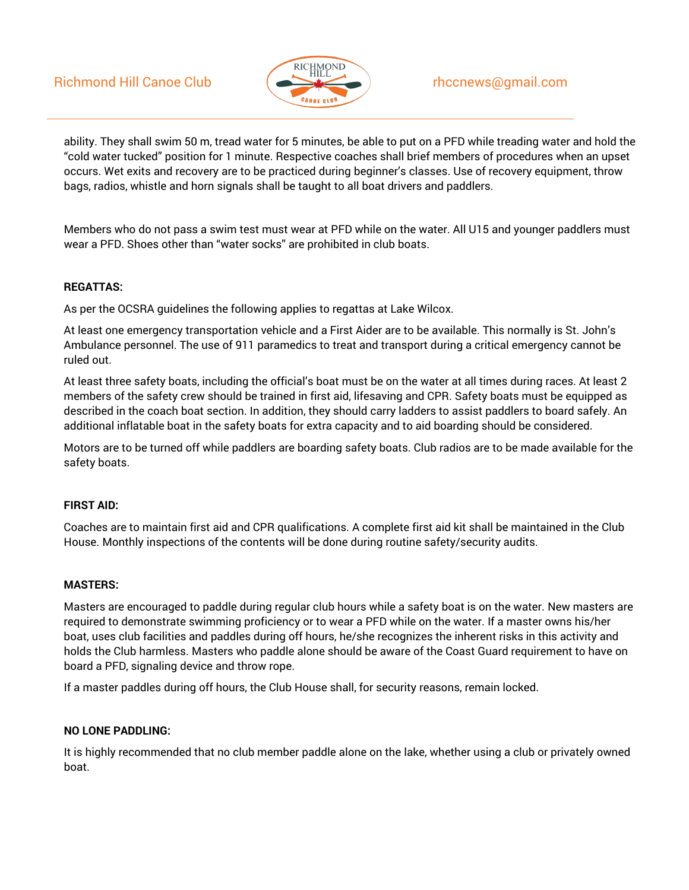## Richmond Hill Canoe Club  $\left( \bigoplus_{i=1}^{\infty} \mathbb{R}^n \right)$  rhccnews@gmail.com



ability. They shall swim 50 m, tread water for 5 minutes, be able to put on a PFD while treading water and hold the "cold water tucked" position for 1 minute. Respective coaches shall brief members of procedures when an upset occurs. Wet exits and recovery are to be practiced during beginner's classes. Use of recovery equipment, throw bags, radios, whistle and horn signals shall be taught to all boat drivers and paddlers.

Members who do not pass a swim test must wear at PFD while on the water. All U15 and younger paddlers must wear a PFD. Shoes other than "water socks" are prohibited in club boats.

#### **REGATTAS:**

As per the OCSRA guidelines the following applies to regattas at Lake Wilcox.

At least one emergency transportation vehicle and a First Aider are to be available. This normally is St. John's Ambulance personnel. The use of 911 paramedics to treat and transport during a critical emergency cannot be ruled out.

At least three safety boats, including the official's boat must be on the water at all times during races. At least 2 members of the safety crew should be trained in first aid, lifesaving and CPR. Safety boats must be equipped as described in the coach boat section. In addition, they should carry ladders to assist paddlers to board safely. An additional inflatable boat in the safety boats for extra capacity and to aid boarding should be considered.

Motors are to be turned off while paddlers are boarding safety boats. Club radios are to be made available for the safety boats.

### **FIRST AID:**

Coaches are to maintain first aid and CPR qualifications. A complete first aid kit shall be maintained in the Club House. Monthly inspections of the contents will be done during routine safety/security audits.

#### **MASTERS:**

Masters are encouraged to paddle during regular club hours while a safety boat is on the water. New masters are required to demonstrate swimming proficiency or to wear a PFD while on the water. If a master owns his/her boat, uses club facilities and paddles during off hours, he/she recognizes the inherent risks in this activity and holds the Club harmless. Masters who paddle alone should be aware of the Coast Guard requirement to have on board a PFD, signaling device and throw rope.

If a master paddles during off hours, the Club House shall, for security reasons, remain locked.

#### **NO LONE PADDLING:**

It is highly recommended that no club member paddle alone on the lake, whether using a club or privately owned boat.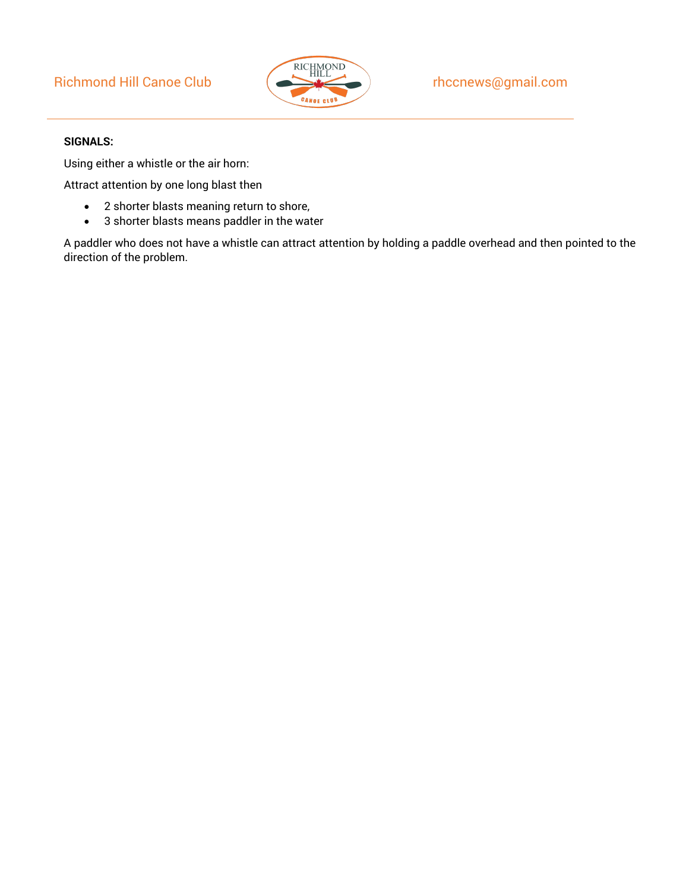## Richmond Hill Canoe Club  $\left($   $\right)$  rhccnews@gmail.com



#### **SIGNALS:**

Using either a whistle or the air horn:

Attract attention by one long blast then

- 2 shorter blasts meaning return to shore,
- 3 shorter blasts means paddler in the water

A paddler who does not have a whistle can attract attention by holding a paddle overhead and then pointed to the direction of the problem.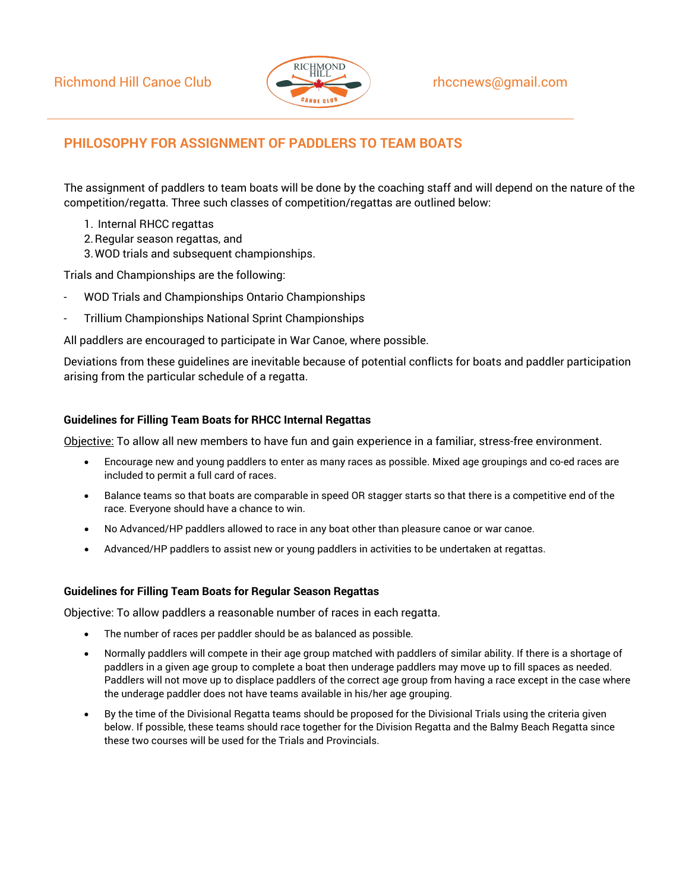

## **PHILOSOPHY FOR ASSIGNMENT OF PADDLERS TO TEAM BOATS**

The assignment of paddlers to team boats will be done by the coaching staff and will depend on the nature of the competition/regatta. Three such classes of competition/regattas are outlined below:

- 1. Internal RHCC regattas
- 2.Regular season regattas, and
- 3.WOD trials and subsequent championships.

Trials and Championships are the following:

- WOD Trials and Championships Ontario Championships
- Trillium Championships National Sprint Championships

All paddlers are encouraged to participate in War Canoe, where possible.

Deviations from these guidelines are inevitable because of potential conflicts for boats and paddler participation arising from the particular schedule of a regatta.

#### **Guidelines for Filling Team Boats for RHCC Internal Regattas**

Objective: To allow all new members to have fun and gain experience in a familiar, stress-free environment.

- Encourage new and young paddlers to enter as many races as possible. Mixed age groupings and co-ed races are included to permit a full card of races.
- Balance teams so that boats are comparable in speed OR stagger starts so that there is a competitive end of the race. Everyone should have a chance to win.
- No Advanced/HP paddlers allowed to race in any boat other than pleasure canoe or war canoe.
- Advanced/HP paddlers to assist new or young paddlers in activities to be undertaken at regattas.

#### **Guidelines for Filling Team Boats for Regular Season Regattas**

Objective: To allow paddlers a reasonable number of races in each regatta.

- The number of races per paddler should be as balanced as possible.
- Normally paddlers will compete in their age group matched with paddlers of similar ability. If there is a shortage of paddlers in a given age group to complete a boat then underage paddlers may move up to fill spaces as needed. Paddlers will not move up to displace paddlers of the correct age group from having a race except in the case where the underage paddler does not have teams available in his/her age grouping.
- By the time of the Divisional Regatta teams should be proposed for the Divisional Trials using the criteria given below. If possible, these teams should race together for the Division Regatta and the Balmy Beach Regatta since these two courses will be used for the Trials and Provincials.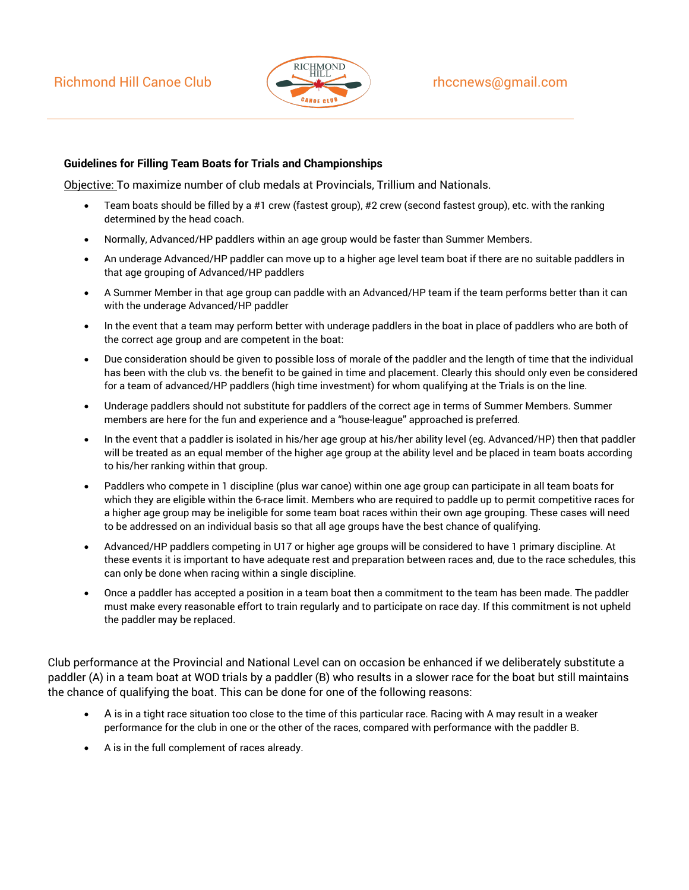## Richmond Hill Canoe Club  $\left($   $\right)$  rhccnews@gmail.com



#### **Guidelines for Filling Team Boats for Trials and Championships**

Objective: To maximize number of club medals at Provincials, Trillium and Nationals.

- Team boats should be filled by a #1 crew (fastest group), #2 crew (second fastest group), etc. with the ranking determined by the head coach.
- Normally, Advanced/HP paddlers within an age group would be faster than Summer Members.
- An underage Advanced/HP paddler can move up to a higher age level team boat if there are no suitable paddlers in that age grouping of Advanced/HP paddlers
- A Summer Member in that age group can paddle with an Advanced/HP team if the team performs better than it can with the underage Advanced/HP paddler
- In the event that a team may perform better with underage paddlers in the boat in place of paddlers who are both of the correct age group and are competent in the boat:
- Due consideration should be given to possible loss of morale of the paddler and the length of time that the individual has been with the club vs. the benefit to be gained in time and placement. Clearly this should only even be considered for a team of advanced/HP paddlers (high time investment) for whom qualifying at the Trials is on the line.
- Underage paddlers should not substitute for paddlers of the correct age in terms of Summer Members. Summer members are here for the fun and experience and a "house-league" approached is preferred.
- In the event that a paddler is isolated in his/her age group at his/her ability level (eg. Advanced/HP) then that paddler will be treated as an equal member of the higher age group at the ability level and be placed in team boats according to his/her ranking within that group.
- Paddlers who compete in 1 discipline (plus war canoe) within one age group can participate in all team boats for which they are eligible within the 6-race limit. Members who are required to paddle up to permit competitive races for a higher age group may be ineligible for some team boat races within their own age grouping. These cases will need to be addressed on an individual basis so that all age groups have the best chance of qualifying.
- Advanced/HP paddlers competing in U17 or higher age groups will be considered to have 1 primary discipline. At these events it is important to have adequate rest and preparation between races and, due to the race schedules, this can only be done when racing within a single discipline.
- Once a paddler has accepted a position in a team boat then a commitment to the team has been made. The paddler must make every reasonable effort to train regularly and to participate on race day. If this commitment is not upheld the paddler may be replaced.

Club performance at the Provincial and National Level can on occasion be enhanced if we deliberately substitute a paddler (A) in a team boat at WOD trials by a paddler (B) who results in a slower race for the boat but still maintains the chance of qualifying the boat. This can be done for one of the following reasons:

- A is in a tight race situation too close to the time of this particular race. Racing with A may result in a weaker performance for the club in one or the other of the races, compared with performance with the paddler B.
- A is in the full complement of races already.